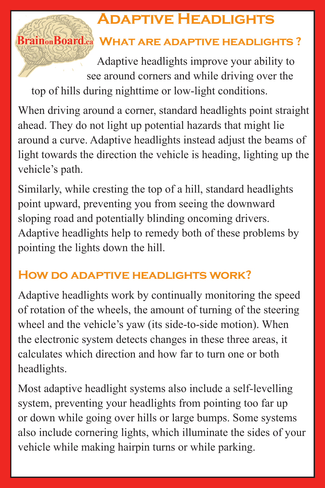# **Adaptive Headlights**

## **Brain Board.ca WHAT ARE ADAPTIVE HEADLIGHTS?**

Adaptive headlights improve your ability to see around corners and while driving over the top of hills during nighttime or low-light conditions.

When driving around a corner, standard headlights point straight ahead. They do not light up potential hazards that might lie around a curve. Adaptive headlights instead adjust the beams of light towards the direction the vehicle is heading, lighting up the vehicle's path.

Similarly, while cresting the top of a hill, standard headlights point upward, preventing you from seeing the downward sloping road and potentially blinding oncoming drivers. Adaptive headlights help to remedy both of these problems by pointing the lights down the hill.

### **How do adaptive headlights work?**

Adaptive headlights work by continually monitoring the speed of rotation of the wheels, the amount of turning of the steering wheel and the vehicle's yaw (its side-to-side motion). When the electronic system detects changes in these three areas, it calculates which direction and how far to turn one or both headlights.

Most adaptive headlight systems also include a self-levelling system, preventing your headlights from pointing too far up or down while going over hills or large bumps. Some systems also include cornering lights, which illuminate the sides of your vehicle while making hairpin turns or while parking.